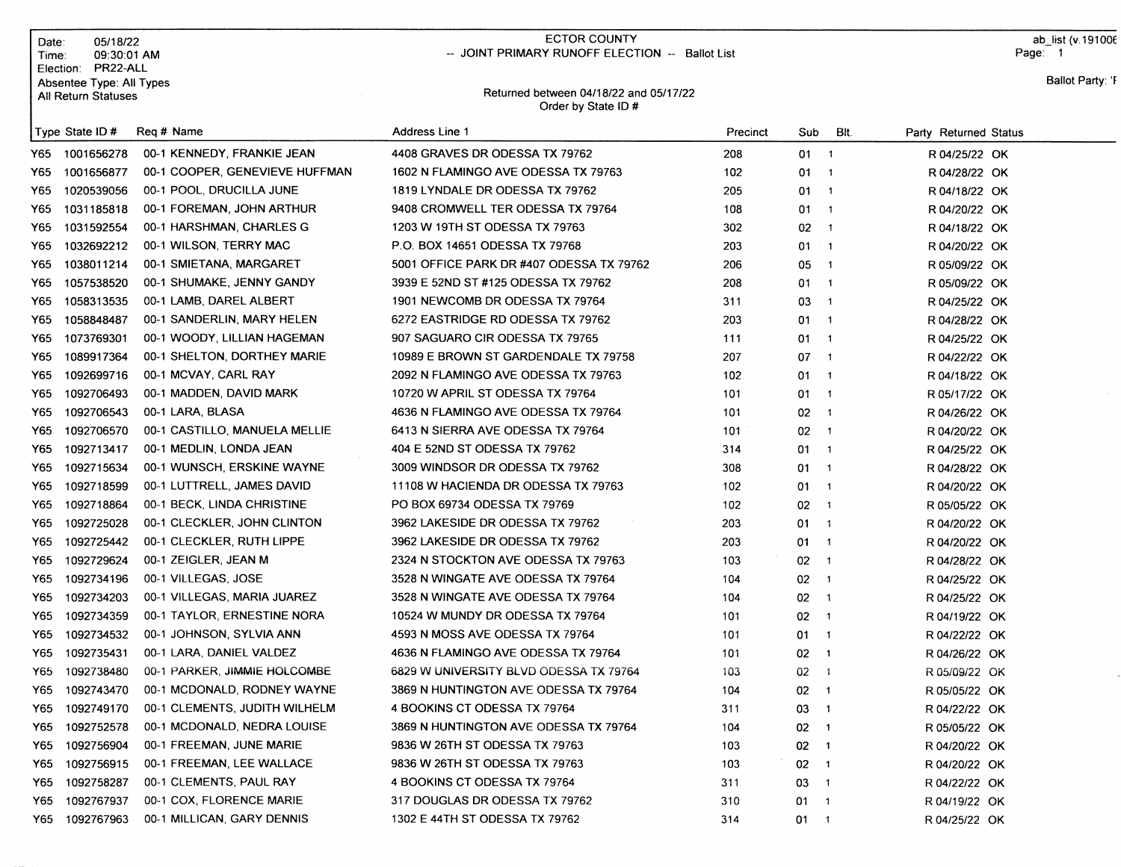| Date:<br>Time: | 05/18/22<br>09:30:01 AM<br>Election: PR22-ALL<br>Absentee Type: All Types |                                | <b>ECTOR COUNTY</b><br>-- JOINT PRIMARY RUNOFF ELECTION -- Ballot List<br>Returned between 04/18/22 and 05/17/22 |          |              |                            |                       | ab_list (v.1910<br>Page: 1<br><b>Ballot Party:</b> |
|----------------|---------------------------------------------------------------------------|--------------------------------|------------------------------------------------------------------------------------------------------------------|----------|--------------|----------------------------|-----------------------|----------------------------------------------------|
|                | All Return Statuses                                                       |                                | Order by State ID #                                                                                              |          |              |                            |                       |                                                    |
|                | Type State ID #                                                           | Reg # Name                     | Address Line 1                                                                                                   | Precinct | Sub          | BIt.                       | Party Returned Status |                                                    |
| Y65.           | 1001656278                                                                | 00-1 KENNEDY, FRANKIE JEAN     | 4408 GRAVES DR ODESSA TX 79762                                                                                   | 208      | $01 \quad 1$ |                            | R 04/25/22 OK         |                                                    |
| Y65            | 1001656877                                                                | 00-1 COOPER, GENEVIEVE HUFFMAN | 1602 N FLAMINGO AVE ODESSA TX 79763                                                                              | 102      | 01           | $\overline{\phantom{0}}$ 1 | R 04/28/22 OK         |                                                    |
| Y65            | 1020539056                                                                | 00-1 POOL, DRUCILLA JUNE       | 1819 LYNDALE DR ODESSA TX 79762                                                                                  | 205      | $01 \quad 1$ |                            | R 04/18/22 OK         |                                                    |
| Y65            | 1031185818                                                                | 00-1 FOREMAN, JOHN ARTHUR      | 9408 CROMWELL TER ODESSA TX 79764                                                                                | 108      | $01 \quad 1$ |                            | R 04/20/22 OK         |                                                    |
| Y65            | 1031592554                                                                | 00-1 HARSHMAN, CHARLES G       | 1203 W 19TH ST ODESSA TX 79763                                                                                   | 302      | $02 \t1$     |                            | R 04/18/22 OK         |                                                    |
| Y65            | 1032692212                                                                | 00-1 WILSON, TERRY MAC         | P.O. BOX 14651 ODESSA TX 79768                                                                                   | 203      | $01 - 1$     |                            | R 04/20/22 OK         |                                                    |
| Y65            | 1038011214                                                                | 00-1 SMIETANA, MARGARET        | 5001 OFFICE PARK DR #407 ODESSA TX 79762                                                                         | 206      | $05 - 1$     |                            | R 05/09/22 OK         |                                                    |
| Y65            | 1057538520                                                                | 00-1 SHUMAKE, JENNY GANDY      | 3939 E 52ND ST #125 ODESSA TX 79762                                                                              | 208      | $01 \quad 1$ |                            | R 05/09/22 OK         |                                                    |
| Y65            | 1058313535                                                                | 00-1 LAMB, DAREL ALBERT        | 1901 NEWCOMB DR ODESSA TX 79764                                                                                  | 311      | $03 \quad 1$ |                            | R 04/25/22 OK         |                                                    |
| Y65            | 1058848487                                                                | 00-1 SANDERLIN, MARY HELEN     | 6272 EASTRIDGE RD ODESSA TX 79762                                                                                | 203      | $01 \quad 1$ |                            | R 04/28/22 OK         |                                                    |
| Y65            | 1073769301                                                                | 00-1 WOODY, LILLIAN HAGEMAN    | 907 SAGUARO CIR ODESSA TX 79765                                                                                  | 111      | $01 \t1$     |                            | R 04/25/22 OK         |                                                    |
| Y65            | 1089917364                                                                | 00-1 SHELTON, DORTHEY MARIE    | 10989 E BROWN ST GARDENDALE TX 79758                                                                             | 207      | 07           | $\overline{\phantom{0}}$ 1 | R 04/22/22 OK         |                                                    |
| Y65            | 1092699716                                                                | 00-1 MCVAY, CARL RAY           | 2092 N FLAMINGO AVE ODESSA TX 79763                                                                              | 102      | $01 \quad 1$ |                            | R 04/18/22 OK         |                                                    |
| Y65            | 1092706493                                                                | 00-1 MADDEN, DAVID MARK        | 10720 W APRIL ST ODESSA TX 79764                                                                                 | 101      | 01.          | $\blacksquare$ 1           | R 05/17/22 OK         |                                                    |
| Y65            | 1092706543                                                                | 00-1 LARA, BLASA               | 4636 N FLAMINGO AVE ODESSA TX 79764                                                                              | 101      | $02 \t1$     |                            | R 04/26/22 OK         |                                                    |
| Y65            | 1092706570                                                                | 00-1 CASTILLO, MANUELA MELLIE  | 6413 N SIERRA AVE ODESSA TX 79764                                                                                | 101      | $02 \t1$     |                            | R 04/20/22 OK         |                                                    |
| Y65            | 1092713417                                                                | 00-1 MEDLIN, LONDA JEAN        | 404 E 52ND ST ODESSA TX 79762                                                                                    | 314      | $01 \quad 1$ |                            | R 04/25/22 OK         |                                                    |
| Y65            | 1092715634                                                                | 00-1 WUNSCH, ERSKINE WAYNE     | 3009 WINDSOR DR ODESSA TX 79762                                                                                  | 308      | $01 \quad 1$ |                            | R 04/28/22 OK         |                                                    |
| Y65            | 1092718599                                                                | 00-1 LUTTRELL, JAMES DAVID     | 11108 W HACIENDA DR ODESSA TX 79763                                                                              | 102      | $01 \quad 1$ |                            | R 04/20/22 OK         |                                                    |
| Y65            | 1092718864                                                                | 00-1 BECK, LINDA CHRISTINE     | PO BOX 69734 ODESSA TX 79769                                                                                     | 102      | 02           | $\overline{\phantom{0}}$   | R 05/05/22 OK         |                                                    |
| Y65            | 1092725028                                                                | 00-1 CLECKLER, JOHN CLINTON    | 3962 LAKESIDE DR ODESSA TX 79762                                                                                 | 203      | $01 \quad 1$ |                            | R 04/20/22 OK         |                                                    |
| Y65            | 1092725442                                                                | 00-1 CLECKLER, RUTH LIPPE      | 3962 LAKESIDE DR ODESSA TX 79762                                                                                 | 203      | $01 \quad 1$ |                            | R 04/20/22 OK         |                                                    |
| Y65            | 1092729624                                                                | 00-1 ZEIGLER, JEAN M           | 2324 N STOCKTON AVE ODESSA TX 79763                                                                              | 103      | $02 \quad 1$ |                            | R 04/28/22 OK         |                                                    |
| Y65            | 1092734196                                                                | 00-1 VILLEGAS, JOSE            | 3528 N WINGATE AVE ODESSA TX 79764                                                                               | 104      | 02           | $\overline{\phantom{1}}$   | R 04/25/22 OK         |                                                    |
| Y65            | 1092734203                                                                | 00-1 VILLEGAS, MARIA JUAREZ    | 3528 N WINGATE AVE ODESSA TX 79764                                                                               | 104      | 02           | $\sim$ 1                   | R 04/25/22 OK         |                                                    |
| Y65            | 1092734359                                                                | 00-1 TAYLOR, ERNESTINE NORA    | 10524 W MUNDY DR ODESSA TX 79764                                                                                 | 101      | 02           | $\overline{\phantom{1}}$   | R 04/19/22 OK         |                                                    |
| Y65            | 1092734532                                                                | 00-1 JOHNSON, SYLVIA ANN       | 4593 N MOSS AVE ODESSA TX 79764                                                                                  | 101      | 01           | $\overline{\mathbf{1}}$    | R 04/22/22 OK         |                                                    |
| Y65            | 1092735431                                                                | 00-1 LARA, DANIEL VALDEZ       | 4636 N FLAMINGO AVE ODESSA TX 79764                                                                              | 101      | $02 \t1$     |                            | R 04/26/22 OK         |                                                    |
| Y65            | 1092738480                                                                | 00-1 PARKER, JIMMIE HOLCOMBE   | 6829 W UNIVERSITY BLVD ODESSA TX 79764                                                                           | 103      | 02           | $\overline{1}$             | R 05/09/22 OK         |                                                    |
| Y65            | 1092743470                                                                | 00-1 MCDONALD, RODNEY WAYNE    | 3869 N HUNTINGTON AVE ODESSA TX 79764                                                                            | 104      | 02           | $\blacksquare$             | R 05/05/22 OK         |                                                    |
| Y65            | 1092749170                                                                | 00-1 CLEMENTS, JUDITH WILHELM  | 4 BOOKINS CT ODESSA TX 79764                                                                                     | 311      | 03           | $\blacksquare$             | R 04/22/22 OK         |                                                    |
| Y65            | 1092752578                                                                | 00-1 MCDONALD, NEDRA LOUISE    | 3869 N HUNTINGTON AVE ODESSA TX 79764                                                                            | 104      | 02           | $\overline{\phantom{1}}$   | R 05/05/22 OK         |                                                    |
| Y65            | 1092756904                                                                | 00-1 FREEMAN, JUNE MARIE       | 9836 W 26TH ST ODESSA TX 79763                                                                                   | 103      | $02 \quad 1$ |                            | R 04/20/22 OK         |                                                    |
| Y65            | 1092756915                                                                | 00-1 FREEMAN, LEE WALLACE      | 9836 W 26TH ST ODESSA TX 79763                                                                                   | 103      | $02 \t1$     |                            | R 04/20/22 OK         |                                                    |
| Y65            | 1092758287                                                                | 00-1 CLEMENTS, PAUL RAY        | 4 BOOKINS CT ODESSA TX 79764                                                                                     | 311      | $03 - 1$     |                            | R 04/22/22 OK         |                                                    |
| Y65            | 1092767937                                                                | 00-1 COX, FLORENCE MARIE       | 317 DOUGLAS DR ODESSA TX 79762                                                                                   | 310      | $01 \quad 1$ |                            | R 04/19/22 OK         |                                                    |
| Y65            | 1092767963                                                                | 00-1 MILLICAN, GARY DENNIS     | 1302 E 44TH ST ODESSA TX 79762                                                                                   | 314      | $01 - 1$     |                            | R 04/25/22 OK         |                                                    |

ab\_list (v.19100€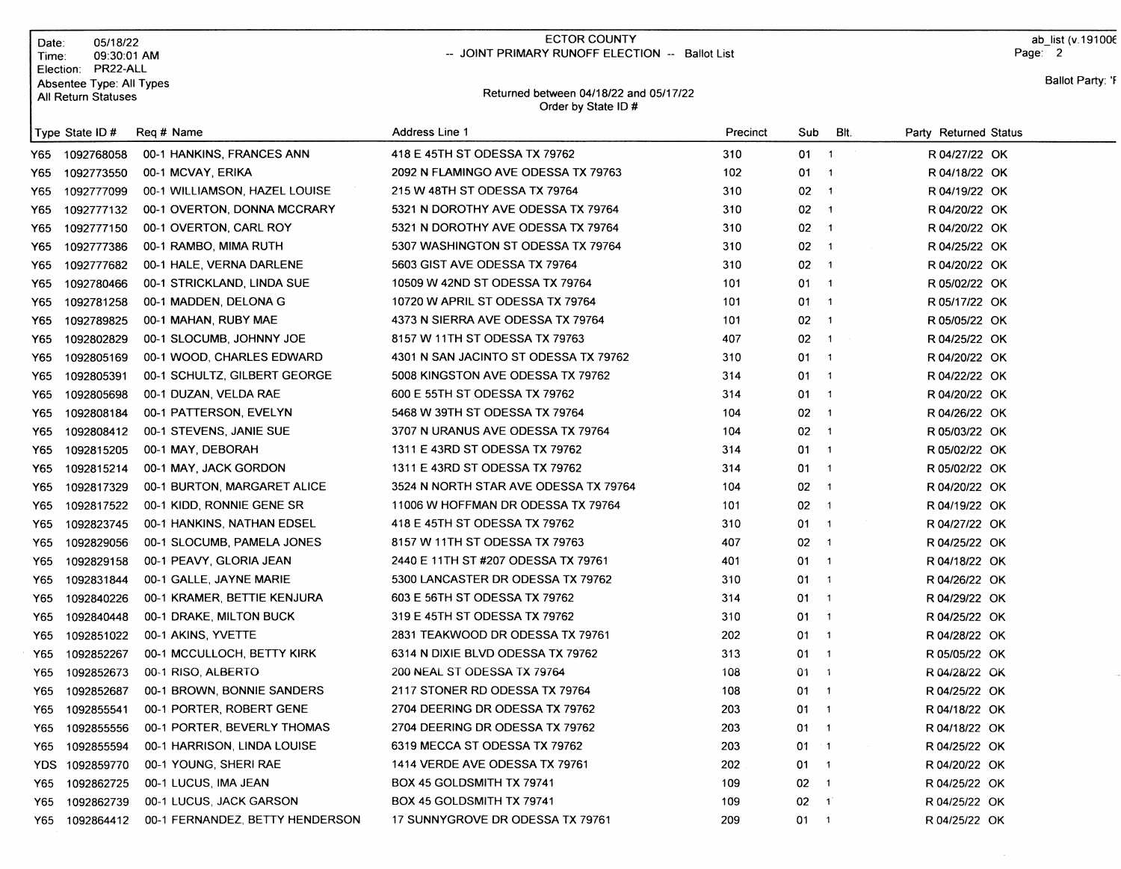| Date:<br>Time: | 05/18/22<br>09:30:01 AM                                                      |                               | <b>ECTOR COUNTY</b><br>-- JOINT PRIMARY RUNOFF ELECTION -- Ballot List |          |                                  |                          | Page: 2               | ab list (v.191006 |
|----------------|------------------------------------------------------------------------------|-------------------------------|------------------------------------------------------------------------|----------|----------------------------------|--------------------------|-----------------------|-------------------|
|                | Election: PR22-ALL<br>Absentee Type: All Types<br><b>All Return Statuses</b> |                               | Returned between 04/18/22 and 05/17/22<br>Order by State ID#           |          |                                  |                          |                       | Ballot Party: 'F  |
|                | Type State ID #                                                              | Reg # Name                    | <b>Address Line 1</b>                                                  | Precinct | Sub                              | BIt.                     | Party Returned Status |                   |
|                | Y65 1092768058                                                               | 00-1 HANKINS, FRANCES ANN     | 418 E 45TH ST ODESSA TX 79762                                          | 310      | $01 \quad 1$                     |                          | R 04/27/22 OK         |                   |
| Y65            | 1092773550                                                                   | 00-1 MCVAY, ERIKA             | 2092 N FLAMINGO AVE ODESSA TX 79763                                    | 102      | $01 \quad 1$                     |                          | R 04/18/22 OK         |                   |
| Y65            | 1092777099                                                                   | 00-1 WILLIAMSON, HAZEL LOUISE | 215 W 48TH ST ODESSA TX 79764                                          | 310      | $02 \t1$                         |                          | R 04/19/22 OK         |                   |
| Y65            | 1092777132                                                                   | 00-1 OVERTON, DONNA MCCRARY   | 5321 N DOROTHY AVE ODESSA TX 79764                                     | 310      | $02 \t1$                         |                          | R 04/20/22 OK         |                   |
| Y65            | 1092777150                                                                   | 00-1 OVERTON, CARL ROY        | 5321 N DOROTHY AVE ODESSA TX 79764                                     | 310      | $02 - 1$                         |                          | R 04/20/22 OK         |                   |
| Y65            | 1092777386                                                                   | 00-1 RAMBO, MIMA RUTH         | 5307 WASHINGTON ST ODESSA TX 79764                                     | 310      | 02                               | $\overline{\phantom{1}}$ | R 04/25/22 OK         |                   |
| Y65            | 1092777682                                                                   | 00-1 HALE, VERNA DARLENE      | 5603 GIST AVE ODESSA TX 79764                                          | 310      | $02 \t1$                         |                          | R 04/20/22 OK         |                   |
| Y65            | 1092780466                                                                   | 00-1 STRICKLAND, LINDA SUE    | 10509 W 42ND ST ODESSA TX 79764                                        | 101      | 01 1                             |                          | R 05/02/22 OK         |                   |
| Y65            | 1092781258                                                                   | 00-1 MADDEN, DELONA G         | 10720 W APRIL ST ODESSA TX 79764                                       | 101      | $01 \quad 1$                     |                          | R 05/17/22 OK         |                   |
| Y65            | 1092789825                                                                   | 00-1 MAHAN, RUBY MAE          | 4373 N SIERRA AVE ODESSA TX 79764                                      | 101      | $02 \t1$                         |                          | R 05/05/22 OK         |                   |
| Y65            | 1092802829                                                                   | 00-1 SLOCUMB, JOHNNY JOE      | 8157 W 11TH ST ODESSA TX 79763                                         | 407      | $02 \t1$                         |                          | R 04/25/22 OK         |                   |
| Y65            | 1092805169                                                                   | 00-1 WOOD, CHARLES EDWARD     | 4301 N SAN JACINTO ST ODESSA TX 79762                                  | 310      | 01                               | $\overline{\phantom{a}}$ | R 04/20/22 OK         |                   |
| Y65            | 1092805391                                                                   | 00-1 SCHULTZ, GILBERT GEORGE  | 5008 KINGSTON AVE ODESSA TX 79762                                      | 314      | 01<br>$\overline{\phantom{0}}$ 1 |                          | R 04/22/22 OK         |                   |
| Y65            | 1092805698                                                                   | 00-1 DUZAN, VELDA RAE         | 600 E 55TH ST ODESSA TX 79762                                          | 314      | 01.                              | $\overline{1}$           | R 04/20/22 OK         |                   |
| Y65            | 1092808184                                                                   | 00-1 PATTERSON, EVELYN        | 5468 W 39TH ST ODESSA TX 79764                                         | 104      | 02                               | $\blacksquare$ 1         | R 04/26/22 OK         |                   |
| Y65.           | 1092808412                                                                   | 00-1 STEVENS, JANIE SUE       | 3707 N URANUS AVE ODESSA TX 79764                                      | 104      | $02 \t1$                         |                          | R 05/03/22 OK         |                   |
| Y65            | 1092815205                                                                   | 00-1 MAY, DEBORAH             | 1311 E 43RD ST ODESSA TX 79762                                         | 314      | $01 \quad 1$                     |                          | R 05/02/22 OK         |                   |
| Y65            | 1092815214                                                                   | 00-1 MAY, JACK GORDON         | 1311 E 43RD ST ODESSA TX 79762                                         | 314      | $01 \quad 1$                     |                          | R 05/02/22 OK         |                   |
| Y65            | 1092817329                                                                   | 00-1 BURTON, MARGARET ALICE   | 3524 N NORTH STAR AVE ODESSA TX 79764                                  | 104      | $02 \t1$                         |                          | R 04/20/22 OK         |                   |
| Y65            | 1092817522                                                                   | 00-1 KIDD, RONNIE GENE SR     | 11006 W HOFFMAN DR ODESSA TX 79764                                     | 101      | $02 \t1$                         |                          | R 04/19/22 OK         |                   |
| Y65.           | 1092823745                                                                   | 00-1 HANKINS, NATHAN EDSEL    | 418 E 45TH ST ODESSA TX 79762                                          | 310      | $01 \quad 1$                     |                          | R 04/27/22 OK         |                   |
| Y65.           | 1092829056                                                                   | 00-1 SLOCUMB, PAMELA JONES    | 8157 W 11TH ST ODESSA TX 79763                                         | 407      | $02 \t1$                         |                          | R 04/25/22 OK         |                   |
| Y65            | 1092829158                                                                   | 00-1 PEAVY, GLORIA JEAN       | 2440 E 11TH ST #207 ODESSA TX 79761                                    | 401      | $01 \quad 1$                     |                          | R 04/18/22 OK         |                   |
| Y65            | 1092831844                                                                   | 00-1 GALLE, JAYNE MARIE       | 5300 LANCASTER DR ODESSA TX 79762                                      | 310      | $01 \quad 1$                     |                          | R 04/26/22 OK         |                   |
| Y65.           | 1092840226                                                                   | 00-1 KRAMER, BETTIE KENJURA   | 603 E 56TH ST ODESSA TX 79762                                          | 314      | $01 \quad 1$                     |                          | R 04/29/22 OK         |                   |
| Y65            | 1092840448                                                                   | 00-1 DRAKE, MILTON BUCK       | 319 E 45TH ST ODESSA TX 79762                                          | 310      | $01 \quad 1$                     |                          | R 04/25/22 OK         |                   |
| Y65            | 1092851022                                                                   | 00-1 AKINS, YVETTE            | 2831 TEAKWOOD DR ODESSA TX 79761                                       | 202      | $01 \quad 1$                     |                          | R 04/28/22 OK         |                   |
| Y65.           | 1092852267                                                                   | 00-1 MCCULLOCH, BETTY KIRK    | 6314 N DIXIE BLVD ODESSA TX 79762                                      | 313      | $01 \quad 1$                     |                          | R 05/05/22 OK         |                   |
|                | Y65 1092852673                                                               | 00-1 RISO, ALBERTO            | 200 NEAL ST ODESSA TX 79764                                            | 108      | $01 \quad 1$                     |                          | R 04/28/22 OK         |                   |
| Y65.           | 1092852687                                                                   | 00-1 BROWN, BONNIE SANDERS    | 2117 STONER RD ODESSA TX 79764                                         | 108      | 01 1                             |                          | R 04/25/22 OK         |                   |
| Y65            | 1092855541                                                                   | 00-1 PORTER, ROBERT GENE      | 2704 DEERING DR ODESSA TX 79762                                        | 203      | $01 \quad 1$                     |                          | R 04/18/22 OK         |                   |
| Y65            | 1092855556                                                                   | 00-1 PORTER, BEVERLY THOMAS   | 2704 DEERING DR ODESSA TX 79762                                        | 203      | $01 \quad 1$                     |                          | R 04/18/22 OK         |                   |
| Y65            | 1092855594                                                                   | 00-1 HARRISON, LINDA LOUISE   | 6319 MECCA ST ODESSA TX 79762                                          | 203      | $01 - 1$                         |                          | R 04/25/22 OK         |                   |
|                | YDS 1092859770                                                               | 00-1 YOUNG, SHERI RAE         | 1414 VERDE AVE ODESSA TX 79761                                         | 202      | $01 \quad 1$                     |                          | R 04/20/22 OK         |                   |
| Y65            | 1092862725                                                                   | 00-1 LUCUS, IMA JEAN          | BOX 45 GOLDSMITH TX 79741                                              | 109      | $02 \t1$                         |                          | R 04/25/22 OK         |                   |
|                | Y65 1092862739                                                               | 00-1 LUCUS, JACK GARSON       | BOX 45 GOLDSMITH TX 79741                                              | 109      | $02 - 1$                         |                          | R 04/25/22 OK         |                   |

17 SUNNYGROVE DR ODESSA TX 79761

209

01

R 04/25/22 OK

 $\sim 10^7$ 

ECTOR COUNTY

Date: 05/18/22

Y65 1092864412 OO-1 FERNANDEZ, BETTY HENDERSON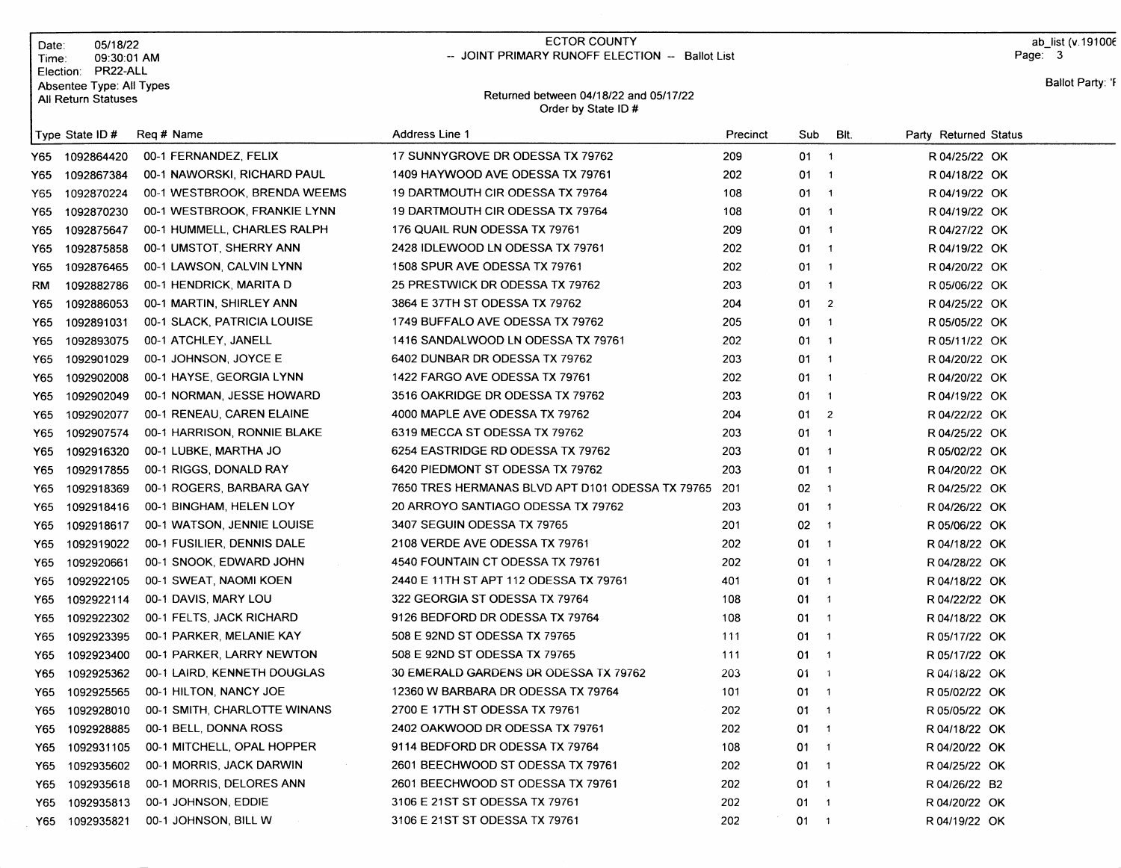|      | 05/18/22<br>Date:<br>09:30:01 AM<br>Time:                                |                                            | <b>ECTOR COUNTY</b><br>-- JOINT PRIMARY RUNOFF ELECTION -- Ballot List |          |              |                          |                       | ab list (v. 19100 $6$<br>Page: 3 |
|------|--------------------------------------------------------------------------|--------------------------------------------|------------------------------------------------------------------------|----------|--------------|--------------------------|-----------------------|----------------------------------|
|      | PR22-ALL<br>Election:<br>Absentee Type: All Types<br>All Return Statuses |                                            | Returned between 04/18/22 and 05/17/22<br>Order by State ID#           |          |              |                          |                       | Ballot Party: 'F                 |
|      | Type State ID #                                                          | Reg # Name                                 | <b>Address Line 1</b>                                                  | Precinct | Sub          | Bit.                     | Party Returned Status |                                  |
| Y65  | 1092864420                                                               | 00-1 FERNANDEZ, FELIX                      | 17 SUNNYGROVE DR ODESSA TX 79762                                       | 209      | $01 \quad 1$ |                          | R 04/25/22 OK         |                                  |
| Y65. | 1092867384                                                               | 00-1 NAWORSKI, RICHARD PAUL                | 1409 HAYWOOD AVE ODESSA TX 79761                                       | 202      | $01 \quad 1$ |                          | R 04/18/22 OK         |                                  |
| Y65  | 1092870224                                                               | 00-1 WESTBROOK, BRENDA WEEMS               | 19 DARTMOUTH CIR ODESSA TX 79764                                       | 108      | $01 \quad 1$ |                          | R 04/19/22 OK         |                                  |
| Y65  | 1092870230                                                               | 00-1 WESTBROOK, FRANKIE LYNN               | 19 DARTMOUTH CIR ODESSA TX 79764                                       | 108      | 01           | $\overline{1}$           | R 04/19/22 OK         |                                  |
| Y65  | 1092875647                                                               | 00-1 HUMMELL, CHARLES RALPH                | 176 QUAIL RUN ODESSA TX 79761                                          | 209      | $01 \quad 1$ |                          | R 04/27/22 OK         |                                  |
| Y65  | 1092875858                                                               | 00-1 UMSTOT, SHERRY ANN                    | 2428 IDLEWOOD LN ODESSA TX 79761                                       | 202      | $01 \quad 1$ |                          | R 04/19/22 OK         |                                  |
| Y65  | 1092876465                                                               | 00-1 LAWSON, CALVIN LYNN                   | 1508 SPUR AVE ODESSA TX 79761                                          | 202      | $01 \quad 1$ |                          | R 04/20/22 OK         |                                  |
| RM   | 1092882786                                                               | 00-1 HENDRICK, MARITA D                    | 25 PRESTWICK DR ODESSA TX 79762                                        | 203      | $01 \quad 1$ |                          | R 05/06/22 OK         |                                  |
| Y65  | 1092886053                                                               | 00-1 MARTIN, SHIRLEY ANN                   | 3864 E 37TH ST ODESSA TX 79762                                         | 204      | $01 \t 2$    |                          | R 04/25/22 OK         |                                  |
| Y65  | 1092891031                                                               | 00-1 SLACK, PATRICIA LOUISE                | 1749 BUFFALO AVE ODESSA TX 79762                                       | 205      | 01           | $\overline{\phantom{a}}$ | R 05/05/22 OK         |                                  |
| Y65  | 1092893075                                                               | 00-1 ATCHLEY, JANELL                       | 1416 SANDALWOOD LN ODESSA TX 79761                                     | 202      | $01 \quad 1$ |                          | R 05/11/22 OK         |                                  |
| Y65  | 1092901029                                                               | 00-1 JOHNSON, JOYCE E                      | 6402 DUNBAR DR ODESSA TX 79762                                         | 203      | $01 \quad 1$ |                          | R 04/20/22 OK         |                                  |
| Y65  | 1092902008                                                               | 00-1 HAYSE, GEORGIA LYNN                   | 1422 FARGO AVE ODESSA TX 79761                                         | 202      | 01           | $\overline{1}$           | R 04/20/22 OK         |                                  |
| Y65  | 1092902049                                                               | 00-1 NORMAN, JESSE HOWARD                  | 3516 OAKRIDGE DR ODESSA TX 79762                                       | 203      | 01 1         |                          | R 04/19/22 OK         |                                  |
| Y65  | 1092902077                                                               | 00-1 RENEAU, CAREN ELAINE                  | 4000 MAPLE AVE ODESSA TX 79762                                         | 204      | 01           | $\overline{2}$           | R 04/22/22 OK         |                                  |
| Y65  | 1092907574                                                               | 00-1 HARRISON, RONNIE BLAKE                | 6319 MECCA ST ODESSA TX 79762                                          | 203      | 01           | $\overline{1}$           | R 04/25/22 OK         |                                  |
| Y65  | 1092916320                                                               | 00-1 LUBKE, MARTHA JO                      | 6254 EASTRIDGE RD ODESSA TX 79762                                      | 203      | $01 \quad 1$ |                          | R 05/02/22 OK         |                                  |
| Y65  | 1092917855                                                               | 00-1 RIGGS, DONALD RAY                     | 6420 PIEDMONT ST ODESSA TX 79762                                       | 203      | 01 1         |                          | R 04/20/22 OK         |                                  |
| Y65  | 1092918369                                                               | 00-1 ROGERS, BARBARA GAY                   | 7650 TRES HERMANAS BLVD APT D101 ODESSA TX 79765                       | 201      | $02 - 1$     |                          | R 04/25/22 OK         |                                  |
| Y65  | 1092918416                                                               | 00-1 BINGHAM, HELEN LOY                    | 20 ARROYO SANTIAGO ODESSA TX 79762                                     | 203      | $01 \quad 1$ |                          | R 04/26/22 OK         |                                  |
| Y65  | 1092918617                                                               | 00-1 WATSON, JENNIE LOUISE                 | 3407 SEGUIN ODESSA TX 79765                                            | 201      | $02 - 1$     |                          | R 05/06/22 OK         |                                  |
|      | Y65<br>1092919022                                                        | 00-1 FUSILIER, DENNIS DALE                 | 2108 VERDE AVE ODESSA TX 79761                                         | 202      | $01 \quad 1$ |                          | R 04/18/22 OK         |                                  |
| Y65  | 1092920661                                                               | 00-1 SNOOK, EDWARD JOHN                    | 4540 FOUNTAIN CT ODESSA TX 79761                                       | 202      | $01 \quad 1$ |                          | R 04/28/22 OK         |                                  |
| Y65  | 1092922105                                                               | 00-1 SWEAT, NAOMI KOEN                     | 2440 E 11TH ST APT 112 ODESSA TX 79761                                 | 401      | $01 \quad 1$ |                          | R 04/18/22 OK         |                                  |
| Y65  | 1092922114                                                               | 00-1 DAVIS, MARY LOU                       | 322 GEORGIA ST ODESSA TX 79764                                         | 108      | $01 \quad 1$ |                          | R 04/22/22 OK         |                                  |
|      | 1092922302<br>Y65                                                        | 00-1 FELTS, JACK RICHARD                   | 9126 BEDFORD DR ODESSA TX 79764                                        | 108      | 01 1         |                          | R 04/18/22 OK         |                                  |
|      | 1092923395<br>Y65                                                        | 00-1 PARKER, MELANIE KAY                   | 508 E 92ND ST ODESSA TX 79765                                          | 111      | 01           | $\overline{1}$           | R 05/17/22 OK         |                                  |
|      | 1092923400<br>Y65 I                                                      | 00-1 PARKER, LARRY NEWTON                  | 508 E 92ND ST ODESSA TX 79765                                          | 111      | 01           | $\blacksquare$           | R 05/17/22 OK         |                                  |
|      |                                                                          | Y65 1092925362 00-1 LAIRD, KENNETH DOUGLAS | 30 EMERALD GARDENS DR ODESSA TX 79762                                  | 203      | $01 - 1$     |                          | R 04/18/22 OK         |                                  |
|      | 1092925565<br>Y65                                                        | 00-1 HILTON, NANCY JOE                     | 12360 W BARBARA DR ODESSA TX 79764                                     | 101      | 01 1         |                          | R 05/02/22 OK         |                                  |
|      | 1092928010<br>Y65                                                        | 00-1 SMITH, CHARLOTTE WINANS               | 2700 E 17TH ST ODESSA TX 79761                                         | 202      | $01 \quad 1$ |                          | R 05/05/22 OK         |                                  |
|      | 1092928885<br>Y65                                                        | 00-1 BELL, DONNA ROSS                      | 2402 OAKWOOD DR ODESSA TX 79761                                        | 202      | $01 \quad 1$ |                          | R 04/18/22 OK         |                                  |
|      | 1092931105<br>Y65                                                        | 00-1 MITCHELL, OPAL HOPPER                 | 9114 BEDFORD DR ODESSA TX 79764                                        | 108      | $01 - 1$     |                          | R 04/20/22 OK         |                                  |
|      | 1092935602<br>Y65                                                        | 00-1 MORRIS, JACK DARWIN                   | 2601 BEECHWOOD ST ODESSA TX 79761                                      | 202      | $01 \quad 1$ |                          | R 04/25/22 OK         |                                  |
|      | 1092935618<br>Y65                                                        | 00-1 MORRIS, DELORES ANN                   | 2601 BEECHWOOD ST ODESSA TX 79761                                      | 202      | $01 \quad 1$ |                          | R 04/26/22 B2         |                                  |
|      | 1092935813<br>Y65                                                        | 00-1 JOHNSON, EDDIE                        | 3106 E 21ST ST ODESSA TX 79761                                         | 202      | $01 \quad 1$ |                          | R 04/20/22 OK         |                                  |
|      | Y65 1092935821                                                           | 00-1 JOHNSON, BILL W                       | 3106 E 21ST ST ODESSA TX 79761                                         | 202      | $01 \t 1$    |                          | R 04/19/22 OK         |                                  |

ECTOR COUNTY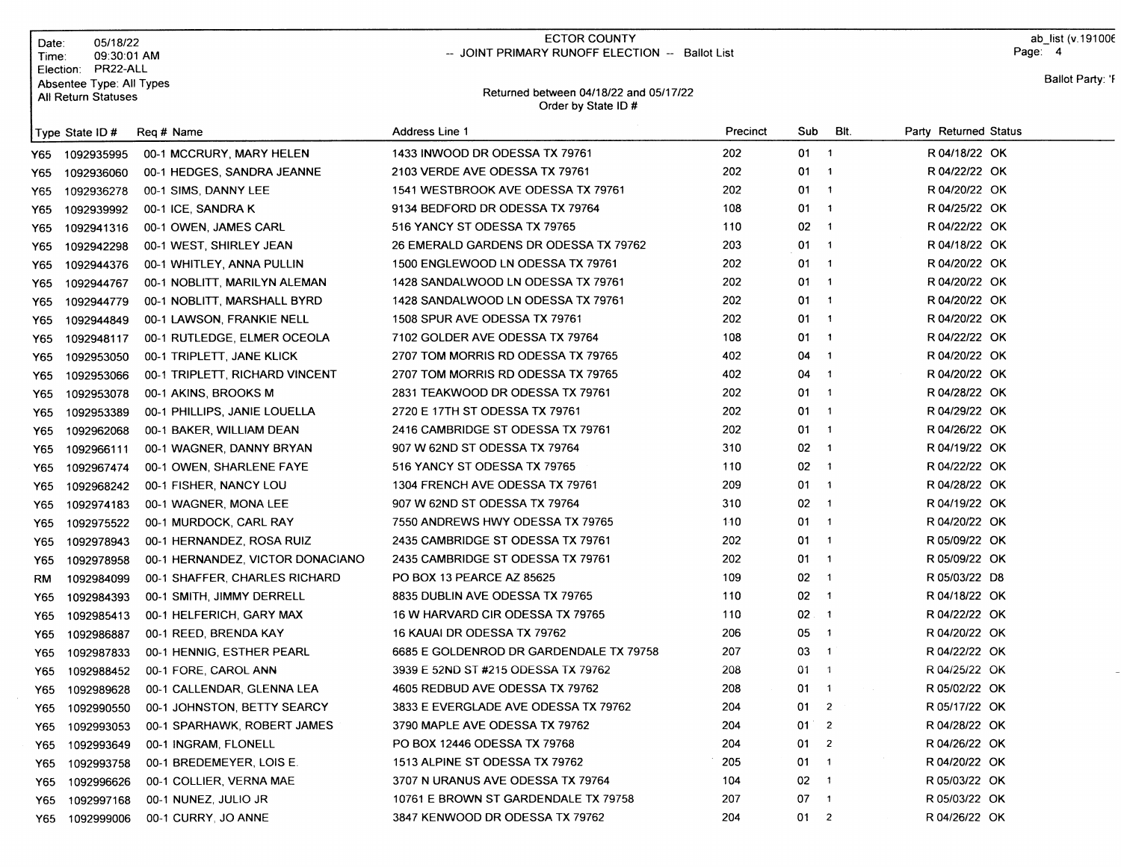| Date:                                                                          | 05/18/22                         | <b>ECTOR COUNTY</b><br>-- JOINT PRIMARY RUNOFF ELECTION -- Ballot List |          |              |                          | ab list (v.191006<br>Page: 4 |
|--------------------------------------------------------------------------------|----------------------------------|------------------------------------------------------------------------|----------|--------------|--------------------------|------------------------------|
| Time:<br>Election: PR22-ALL<br>Absentee Type: All Types<br>All Return Statuses | 09:30:01 AM                      | Returned between 04/18/22 and 05/17/22<br>Order by State ID#           |          |              |                          | Ballot Party: 'F             |
| Type State ID#                                                                 | Req # Name                       | Address Line 1                                                         | Precinct | Sub          | Bit.                     | Party Returned Status        |
| 1092935995<br>Y65                                                              | 00-1 MCCRURY, MARY HELEN         | 1433 INWOOD DR ODESSA TX 79761                                         | 202      | $01 \quad 1$ |                          | R 04/18/22 OK                |
| 1092936060<br>Y65                                                              | 00-1 HEDGES, SANDRA JEANNE       | 2103 VERDE AVE ODESSA TX 79761                                         | 202      | 01           | $\overline{1}$           | R 04/22/22 OK                |
| 1092936278<br>Y65                                                              | 00-1 SIMS, DANNY LEE             | 1541 WESTBROOK AVE ODESSA TX 79761                                     | 202      | 01           | $\overline{1}$           | R 04/20/22 OK                |
| 1092939992<br>Y65                                                              | 00-1 ICE, SANDRA K               | 9134 BEDFORD DR ODESSA TX 79764                                        | 108      | 01           | $\overline{1}$           | R 04/25/22 OK                |
| 1092941316<br>Y65                                                              | 00-1 OWEN, JAMES CARL            | 516 YANCY ST ODESSA TX 79765                                           | 110      | 02           | $\overline{1}$           | R 04/22/22 OK                |
| 1092942298<br>Y65                                                              | 00-1 WEST, SHIRLEY JEAN          | 26 EMERALD GARDENS DR ODESSA TX 79762                                  | 203      | 01           | $\overline{\phantom{1}}$ | R 04/18/22 OK                |
| 1092944376<br>Y65                                                              | 00-1 WHITLEY, ANNA PULLIN        | 1500 ENGLEWOOD LN ODESSA TX 79761                                      | 202      | 01           | $\overline{1}$           | R 04/20/22 OK                |
| Y65<br>1092944767                                                              | 00-1 NOBLITT, MARILYN ALEMAN     | 1428 SANDALWOOD LN ODESSA TX 79761                                     | 202      | 01           | $\overline{1}$           | R 04/20/22 OK                |
| 1092944779<br>Y65                                                              | 00-1 NOBLITT, MARSHALL BYRD      | 1428 SANDALWOOD LN ODESSA TX 79761                                     | 202      | 01           | $\overline{1}$           | R 04/20/22 OK                |
| 1092944849<br>Y65                                                              | 00-1 LAWSON, FRANKIE NELL        | 1508 SPUR AVE ODESSA TX 79761                                          | 202      | 01           | $\overline{1}$           | R 04/20/22 OK                |
| 1092948117<br>Y65                                                              | 00-1 RUTLEDGE, ELMER OCEOLA      | 7102 GOLDER AVE ODESSA TX 79764                                        | 108      | 01           | $\overline{\mathbf{1}}$  | R 04/22/22 OK                |
| 1092953050<br>Y65                                                              | 00-1 TRIPLETT, JANE KLICK        | 2707 TOM MORRIS RD ODESSA TX 79765                                     | 402      | 04           | $\overline{1}$           | R 04/20/22 OK                |
| 1092953066<br>Y65                                                              | 00-1 TRIPLETT, RICHARD VINCENT   | 2707 TOM MORRIS RD ODESSA TX 79765                                     | 402      | 04           | $\mathbf{1}$             | R 04/20/22 OK                |
| 1092953078<br>Y65                                                              | 00-1 AKINS, BROOKS M             | 2831 TEAKWOOD DR ODESSA TX 79761                                       | 202      | 01           | $\overline{1}$           | R 04/28/22 OK                |
| 1092953389<br>Y65                                                              | 00-1 PHILLIPS, JANIE LOUELLA     | 2720 E 17TH ST ODESSA TX 79761                                         | 202      | 01           | $\overline{1}$           | R 04/29/22 OK                |
| 1092962068<br>Y65                                                              | 00-1 BAKER, WILLIAM DEAN         | 2416 CAMBRIDGE ST ODESSA TX 79761                                      | 202      | 01           | $\overline{1}$           | R 04/26/22 OK                |
| Y65<br>1092966111                                                              | 00-1 WAGNER, DANNY BRYAN         | 907 W 62ND ST ODESSA TX 79764                                          | 310      | 02           | $\overline{1}$           | R 04/19/22 OK                |
| 1092967474<br>Y65                                                              | 00-1 OWEN, SHARLENE FAYE         | 516 YANCY ST ODESSA TX 79765                                           | 110      | 02           | $\overline{1}$           | R 04/22/22 OK                |
| 1092968242<br>Y65                                                              | 00-1 FISHER, NANCY LOU           | 1304 FRENCH AVE ODESSA TX 79761                                        | 209      | 01           | $\overline{1}$           | R 04/28/22 OK                |
| 1092974183<br>Y65                                                              | 00-1 WAGNER, MONA LEE            | 907 W 62ND ST ODESSA TX 79764                                          | 310      | 02           | $\overline{\mathbf{1}}$  | R 04/19/22 OK                |
| Y65<br>1092975522                                                              | 00-1 MURDOCK, CARL RAY           | 7550 ANDREWS HWY ODESSA TX 79765                                       | 110      | 01           | $\overline{1}$           | R 04/20/22 OK                |
| 1092978943<br>Y65                                                              | 00-1 HERNANDEZ, ROSA RUIZ        | 2435 CAMBRIDGE ST ODESSA TX 79761                                      | 202      | 01           | $\overline{1}$           | R 05/09/22 OK                |
| 1092978958<br>Y65                                                              | 00-1 HERNANDEZ, VICTOR DONACIANO | 2435 CAMBRIDGE ST ODESSA TX 79761                                      | 202      | 01           | $\overline{\phantom{a}}$ | R 05/09/22 OK                |
| 1092984099<br>RM                                                               | 00-1 SHAFFER, CHARLES RICHARD    | PO BOX 13 PEARCE AZ 85625                                              | 109      | 02           | $\overline{1}$           | R 05/03/22 D8                |
| 1092984393<br>Y65                                                              | 00-1 SMITH, JIMMY DERRELL        | 8835 DUBLIN AVE ODESSA TX 79765                                        | 110      | 02           | $\overline{\mathbf{1}}$  | R 04/18/22 OK                |
| 1092985413<br>Y65                                                              | 00-1 HELFERICH, GARY MAX         | 16 W HARVARD CIR ODESSA TX 79765                                       | 110      | 02           | $\overline{\mathbf{1}}$  | R 04/22/22 OK                |
| 1092986887<br>Y65                                                              | 00-1 REED, BRENDA KAY            | 16 KAUAI DR ODESSA TX 79762                                            | 206      | 05           | $\overline{1}$           | R 04/20/22 OK                |
| 1092987833<br>Y65                                                              | 00-1 HENNIG, ESTHER PEARL        | 6685 E GOLDENROD DR GARDENDALE TX 79758                                | 207      | 03           | $\overline{1}$           | R 04/22/22 OK                |
| 1092988452<br>Y65                                                              | 00-1 FORE, CAROL ANN             | 3939 E 52ND ST #215 ODESSA TX 79762                                    | 208      | 01           | $\sqrt{1}$               | R 04/25/22 OK                |
| 1092989628<br>Y65                                                              | 00-1 CALLENDAR, GLENNA LEA       | 4605 REDBUD AVE ODESSA TX 79762                                        | 208      | 01           | $\overline{1}$           | R 05/02/22 OK                |
| 1092990550<br>Y65                                                              | 00-1 JOHNSTON, BETTY SEARCY      | 3833 E EVERGLADE AVE ODESSA TX 79762                                   | 204      | 01           | $\overline{2}$           | R 05/17/22 OK                |
| 1092993053<br>Y65                                                              | 00-1 SPARHAWK, ROBERT JAMES      | 3790 MAPLE AVE ODESSA TX 79762                                         | 204      | $01^{\circ}$ | $\overline{2}$           | R 04/28/22 OK                |
| 1092993649<br>Y65                                                              | 00-1 INGRAM, FLONELL             | PO BOX 12446 ODESSA TX 79768                                           | 204      | 01.          | $\overline{2}$           | R 04/26/22 OK                |
| 1092993758<br>Y65 I                                                            | 00-1 BREDEMEYER, LOIS E.         | 1513 ALPINE ST ODESSA TX 79762                                         | 205      | 01           | $\mathbf{1}$             | R 04/20/22 OK                |
| 1092996626<br>Y65 I                                                            | 00-1 COLLIER, VERNA MAE          | 3707 N URANUS AVE ODESSA TX 79764                                      | 104      | 02           | $\overline{1}$           | R 05/03/22 OK                |
| 1092997168<br>Y65                                                              | 00-1 NUNEZ, JULIO JR             | 10761 E BROWN ST GARDENDALE TX 79758                                   | 207      | 07           | $\mathbf{1}$             | R 05/03/22 OK                |
| Y65 1092999006                                                                 | 00-1 CURRY, JO ANNE              | 3847 KENWOOD DR ODESSA TX 79762                                        | 204      | $01 \t 2$    |                          | R 04/26/22 OK                |